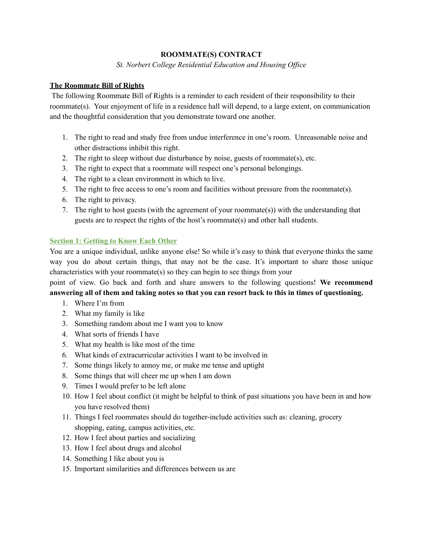## **ROOMMATE(S) CONTRACT**

*St. Norbert College Residential Education and Housing Of ice*

## **The Roommate Bill of Rights**

The following Roommate Bill of Rights is a reminder to each resident of their responsibility to their roommate(s). Your enjoyment of life in a residence hall will depend, to a large extent, on communication and the thoughtful consideration that you demonstrate toward one another.

- 1. The right to read and study free from undue interference in one's room. Unreasonable noise and other distractions inhibit this right.
- 2. The right to sleep without due disturbance by noise, guests of roommate(s), etc.
- 3. The right to expect that a roommate will respect one's personal belongings.
- 4. The right to a clean environment in which to live.
- 5. The right to free access to one's room and facilities without pressure from the roommate(s).
- 6. The right to privacy.
- 7. The right to host guests (with the agreement of your roommate(s)) with the understanding that guests are to respect the rights of the host's roommate(s) and other hall students.

### **Section 1: Getting to Know Each Other**

You are a unique individual, unlike anyone else! So while it's easy to think that everyone thinks the same way you do about certain things, that may not be the case. It's important to share those unique characteristics with your roommate(s) so they can begin to see things from your

point of view. Go back and forth and share answers to the following questions! **We recommend** answering all of them and taking notes so that you can resort back to this in times of questioning.

- 1. Where I'm from
- 2. What my family is like
- 3. Something random about me I want you to know
- 4. What sorts of friends I have
- 5. What my health is like most of the time
- 6. What kinds of extracurricular activities I want to be involved in
- 7. Some things likely to annoy me, or make me tense and uptight
- 8. Some things that will cheer me up when I am down
- 9. Times I would prefer to be left alone
- 10. How I feel about conflict (it might be helpful to think of past situations you have been in and how you have resolved them)
- 11. Things I feel roommates should do together-include activities such as: cleaning, grocery shopping, eating, campus activities, etc.
- 12. How I feel about parties and socializing
- 13. How I feel about drugs and alcohol
- 14. Something I like about you is
- 15. Important similarities and differences between us are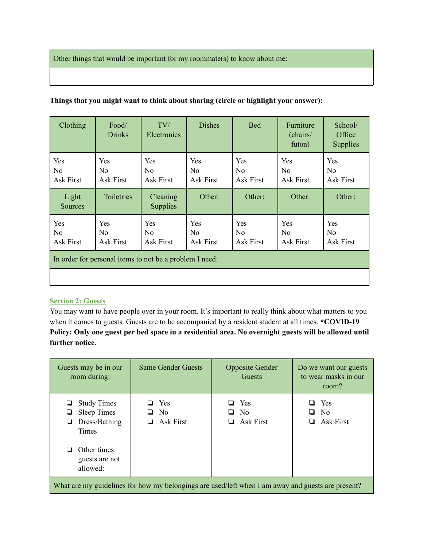Other things that would be important for my roommate(s) to know about me:

|  |  | Things that you might want to think about sharing (circle or highlight your answer): |  |
|--|--|--------------------------------------------------------------------------------------|--|
|  |  |                                                                                      |  |
|  |  |                                                                                      |  |
|  |  |                                                                                      |  |

| Clothing                                                | Food/<br><b>Drinks</b>        | TV/<br>Electronics                 | <b>Dishes</b>                      | <b>Bed</b>                                | Furniture<br>(chairs/<br>futon)    | School/<br>Office<br><b>Supplies</b>      |
|---------------------------------------------------------|-------------------------------|------------------------------------|------------------------------------|-------------------------------------------|------------------------------------|-------------------------------------------|
| Yes<br>N <sub>0</sub><br>Ask First                      | Yes<br>No<br>Ask First        | Yes<br>N <sub>0</sub><br>Ask First | Yes<br>N <sub>0</sub><br>Ask First | Yes<br>N <sub>0</sub><br><b>Ask First</b> | Yes<br>N <sub>o</sub><br>Ask First | Yes<br>N <sub>0</sub><br><b>Ask First</b> |
| Light<br>Sources                                        | Toiletries                    | Cleaning<br><b>Supplies</b>        | Other:                             | Other:                                    | Other:                             | Other:                                    |
| Yes<br>No<br>Ask First                                  | Yes<br>No<br><b>Ask First</b> | Yes<br>N <sub>0</sub><br>Ask First | Yes<br>N <sub>0</sub><br>Ask First | Yes<br>N <sub>0</sub><br><b>Ask First</b> | Yes<br>No<br>Ask First             | Yes<br>N <sub>0</sub><br>Ask First        |
| In order for personal items to not be a problem I need: |                               |                                    |                                    |                                           |                                    |                                           |
|                                                         |                               |                                    |                                    |                                           |                                    |                                           |

# **Section 2: Guests**

You may want to have people over in your room. It's important to really think about what matters to you when it comes to guests. Guests are to be accompanied by a resident student at all times. **\*COVID-19** Policy: Only one guest per bed space in a residential area. No overnight guests will be allowed until **further notice.**

| Guests may be in our<br>room during:                                                                                           | <b>Same Gender Guests</b>                 | <b>Opposite Gender</b><br>Guests          | Do we want our guests<br>to wear masks in our<br>room?    |
|--------------------------------------------------------------------------------------------------------------------------------|-------------------------------------------|-------------------------------------------|-----------------------------------------------------------|
| <b>Study Times</b><br>⊔<br><b>Sleep Times</b><br>Dress/Bathing<br>❏<br>Times<br>Other times<br>⊔<br>guests are not<br>allowed: | Yes<br>N <sub>0</sub><br><b>Ask First</b> | Yes<br>N <sub>0</sub><br>$\Box$ Ask First | Yes<br>▁▁<br>N <sub>0</sub><br>ப<br><b>Ask First</b><br>u |
| What are my guidelines for how my belongings are used/left when I am away and guests are present?                              |                                           |                                           |                                                           |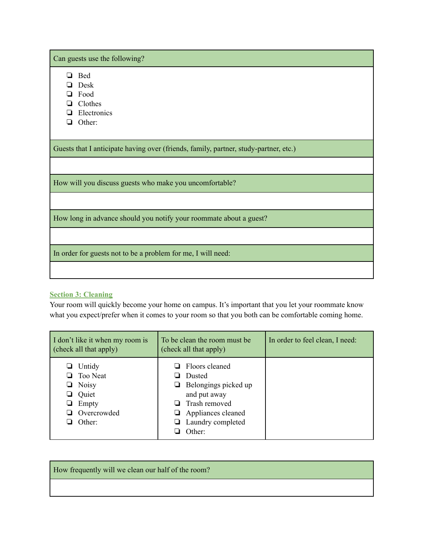Can guests use the following?

❏ Bed

- ❏ Desk
- ❏ Food
- ❏ Clothes
- ❏ Electronics
- ❏ Other:

Guests that I anticipate having over (friends, family, partner, study-partner, etc.)

How will you discuss guests who make you uncomfortable?

How long in advance should you notify your roommate about a guest?

In order for guests not to be a problem for me, I will need:

### **Section 3: Cleaning**

Your room will quickly become your home on campus. It's important that you let your roommate know what you expect/prefer when it comes to your room so that you both can be comfortable coming home.

| I don't like it when my room is<br>(check all that apply)                                      | To be clean the room must be<br>(check all that apply)                                                                                                             | In order to feel clean, I need: |
|------------------------------------------------------------------------------------------------|--------------------------------------------------------------------------------------------------------------------------------------------------------------------|---------------------------------|
| Untidy<br><b>Too Neat</b><br><b>Noisy</b><br>u<br>Quiet<br>u<br>Empty<br>Overcrowded<br>Other: | $\Box$ Floors cleaned<br><b>Dusted</b><br>$\Box$ Belongings picked up<br>and put away<br>Trash removed<br>$\Box$ Appliances cleaned<br>Laundry completed<br>Other: |                                 |

How frequently will we clean our half of the room?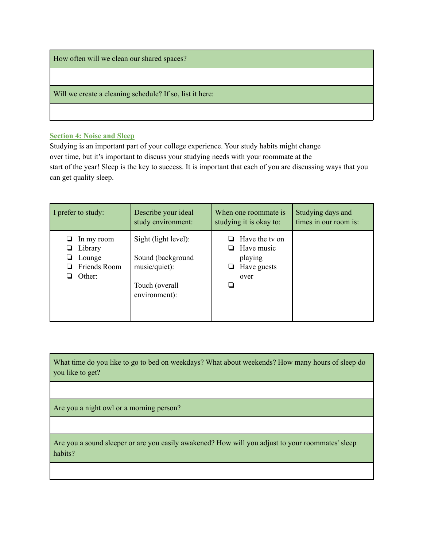How often will we clean our shared spaces?

Will we create a cleaning schedule? If so, list it here:

#### **Section 4: Noise and Sleep**

Studying is an important part of your college experience. Your study habits might change over time, but it's important to discuss your studying needs with your roommate at the start of the year! Sleep is the key to success. It is important that each of you are discussing ways that you can get quality sleep.

| I prefer to study: | Describe your ideal  | When one roommate is    | Studying days and     |
|--------------------|----------------------|-------------------------|-----------------------|
|                    | study environment:   | studying it is okay to: | times in our room is: |
| In my room         | Sight (light level): | $\Box$ Have the ty on   |                       |
| Library            | Sound (background    | Have music              |                       |
| Lounge             | music/quiet):        | playing                 |                       |
| Friends Room       | Touch (overall       | Have guests             |                       |
| Other:             | environment):        | over                    |                       |

What time do you like to go to bed on weekdays? What about weekends? How many hours of sleep do you like to get?

Are you a night owl or a morning person?

Are you a sound sleeper or are you easily awakened? How will you adjust to your roommates' sleep habits?